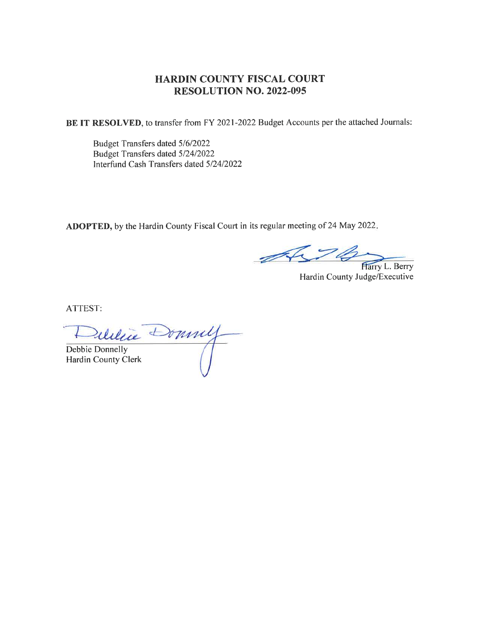#### HARDIN COUNTY FISCAL COURT RESOLUTION NO. 2022-095

BE IT RESOLVED, to transfer from FY 2021-2022 Budget Accounts per the attached Journals:

Budget Transfers dated 516/2022 Budget Transfers dated 5/24/2022 Interfund Cash Transfers dated 5/2412022

ADOPTED, by the Hardin County Fiscal Court in its regular meeting of 24 May 2022

476 Harry L. Berry

Hardin County Judge/Executive

ATTEST:

Deletie Donnell Hardin County Clerk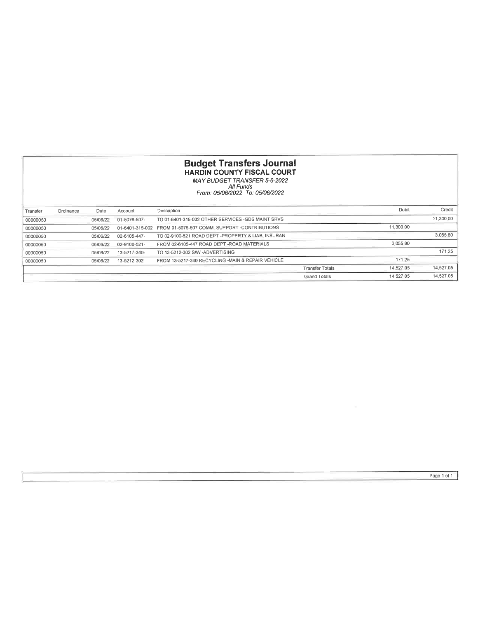## **Budget Transfers Journal**<br>HARDIN COUNTY FISCAL COURT<br>MAY BUDGET TRANSFER 5-6-2022<br>*All Funds*<br>From: 05/06/2022 To: 05/06/2022

| Transfer | Ordinance | Date     | Account         | Description                                       |                        | Debit     | Credit    |
|----------|-----------|----------|-----------------|---------------------------------------------------|------------------------|-----------|-----------|
| 00000050 |           | 05/06/22 | 01-5076-507-    | TO 01-6401-315-002 OTHER SERVICES -GDS MAINT SRVS |                        |           | 11,300.00 |
| 00000050 |           | 05/06/22 | 01-6401-315-002 | FROM 01-5076-507 COMM_SUPPORT -CONTRIBUTIONS      |                        | 11,300.00 |           |
| 00000050 |           | 05/06/22 | 02-6105-447-    | TO 02-9100-521 ROAD DEPT -PROPERTY & LIAB INSURAN |                        |           | 3.05580   |
| 00000050 |           | 05/06/22 | 02-9100-521-    | FROM 02-6105-447 ROAD DEPT - ROAD MATERIALS       |                        | 3.05580   |           |
| 00000050 |           | 05/06/22 | 13-5217-340-    | TO 13-5212-302 S/W -ADVERTISING                   |                        |           | 171 25    |
| 00000050 |           | 05/06/22 | 13-5212-302-    | FROM 13-5217-340 RECYCLING -MAIN & REPAIR VEHICLE |                        | 171.25    |           |
|          |           |          |                 |                                                   | <b>Transfer Totals</b> | 14.527.05 | 14.527 05 |
|          |           |          |                 |                                                   | <b>Grand Totals</b>    | 14.527 05 | 14.527.05 |

 $\sim$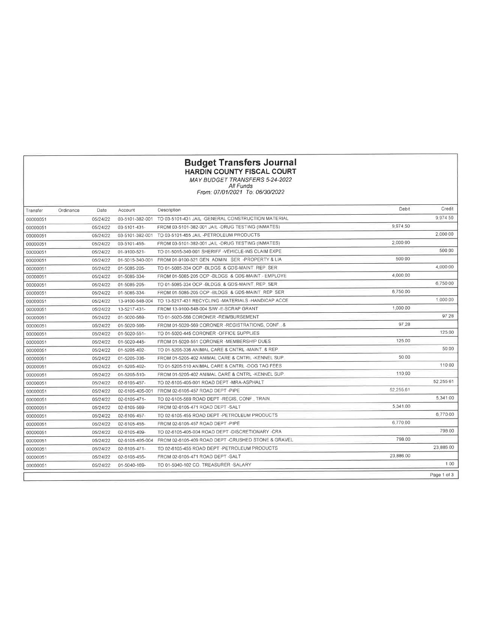# **Budget Transfers Journal**<br>HARDIN COUNTY FISCAL COURT<br>MAY BUDGET TRANSFERS 5-24-2022<br>All Funds<br>From: 07/01/2021 To: 06/30/2022

| Transfer | Ordinance | Date     | Account         | Description                                                        | Debit     | Credit      |
|----------|-----------|----------|-----------------|--------------------------------------------------------------------|-----------|-------------|
| 00000051 |           | 05/24/22 |                 | 03-5101-382-001 TO 03-5101-431 JAIL -GENERAL CONSTRUCTION MATERIAL |           | 9.974 50    |
| 00000051 |           | 05/24/22 | 03-5101-431-    | FROM 03-5101-382-001 JAIL-DRUG TESTING (INMATES)                   | 9.974.50  |             |
| 00000051 |           | 05/24/22 | 03-5101-382-001 | TO 03-5101-455 JAIL -PETROLEUM PRODUCTS                            |           | 2,000 00    |
| 00000051 |           | 05/24/22 | 03-5101-455-    | FROM 03-5101-382-001 JAIL -DRUG TESTING (INMATES)                  | 2,000 00  |             |
| 00000051 |           | 05/24/22 | 01-9100-521-    | TO 01-5015-340-001 SHERIFF -VEHICLE-INS CLAIM EXPE                 |           | 500.00      |
| 00000051 |           | 05/24/22 | 01-5015-340-001 | FROM 01-9100-521 GEN, ADMIN, SER, -PROPERTY & LIA                  | 500 00    |             |
| 00000051 |           | 05/24/22 | 01-5085-205-    | TO 01-5085-334 OCP -BLDGS & GDS-MAINT REP SER                      |           | 4,000 00    |
| 00000051 |           | 05/24/22 | 01-5085-334-    | FROM 01-5085-205 OCP -BLDGS & GDS-MAINT - EMPLOYE                  | 4,000.00  |             |
| 00000051 |           | 05/24/22 | 01-5085-205-    | TO 01-5085-334 OCP -BLDGS, & GDS-MAINT, REP, SER                   |           | 6.75000     |
| 00000051 |           | 05/24/22 | 01-5085-334-    | FROM 01-5085-205 OCP -BLDGS & GDS-MAINT REP SER                    | 6,750 00  |             |
| 00000051 |           | 05/24/22 | 13-9100-548-004 | TO 13-5217-431 RECYCLING -MATERIALS -HANDICAP ACCE                 |           | 1,000.00    |
| 00000051 |           | 05/24/22 | 13-5217-431-    | FROM 13-9100-548-004 S/W -E-SCRAP GRANT                            | 1,000 00  |             |
| 00000051 |           | 05/24/22 | 01-5020-569-    | TO 01-5020-566 CORONER -REIMBURSEMENT                              |           | 97 28       |
| 00000051 |           | 05/24/22 | 01-5020-566-    | FROM 01-5020-569 CORONER -REGISTRATIONS, CONF. &                   | 97.28     |             |
| 00000051 |           | 05/24/22 | 01-5020-551-    | TO 01-5020-445 CORONER -OFFICE SUPPLIES                            |           | 125.00      |
| 00000051 |           | 05/24/22 | 01-5020-445-    | FROM 01-5020-551 CORONER -MEMBERSHIP DUES                          | 125.00    |             |
| 00000051 |           | 05/24/22 | 01-5205-402-    | TO 01-5205-336 ANIMAL CARE & CNTRL -MAINT. & REP.                  |           | 50 00       |
| 00000051 |           | 05/24/22 | 01-5205-336-    | FROM 01-5205-402 ANIMAL CARE & CNTRL -KENNEL SUP                   | 50.00     |             |
| 00000051 |           | 05/24/22 | 01-5205-402-    | TO 01-5205-510 ANIMAL CARE & CNTRL -DOG TAG FEES                   |           | 110 00      |
| 00000051 |           | 05/24/22 | 01-5205-510-    | FROM 01-5205-402 ANIMAL CARE & CNTRL -KENNEL SUP                   | 110.00    |             |
| 00000051 |           | 05/24/22 | 02-6105-457-    | TO 02-6105-405-001 ROAD DEPT -MRA-ASPHALT                          |           | 52.255 61   |
| 00000051 |           | 05/24/22 | 02-6105-405-001 | FROM 02-6105-457 ROAD DEPT -PIPE                                   | 52,255.61 |             |
| 00000051 |           | 05/24/22 | 02-6105-471-    | TO 02-6105-569 ROAD DEPT -REGIS, CONF., TRAIN.                     |           | 5,341.00    |
| 00000051 |           | 05/24/22 | 02-6105-569-    | FROM 02-6105-471 ROAD DEPT -SALT                                   | 5.341.00  |             |
| 00000051 |           | 05/24/22 | 02-6105-457-    | TO 02-6105-455 ROAD DEPT -PETROLEUM PRODUCTS                       |           | 6,77000     |
| 00000051 |           | 05/24/22 | 02-6105-455-    | FROM 02-6105-457 ROAD DEPT -PIPE                                   | 6,770.00  |             |
| 00000051 |           | 05/24/22 | 02-6105-409-    | TO 02-6105-405-004 ROAD DEPT -DISCRETIONARY -CRA                   |           | 798 00      |
| 00000051 |           | 05/24/22 | 02-6105-405-004 | FROM 02-6105-409 ROAD DEPT -CRUSHED STONE & GRAVEL                 | 798.00    |             |
| 00000051 |           | 05/24/22 | 02-6105-471-    | TO 02-6105-455 ROAD DEPT -PETROLEUM PRODUCTS                       |           | 23,886 00   |
| 00000051 |           | 05/24/22 | 02-6105-455-    | FROM 02-6105-471 ROAD DEPT -SALT                                   | 23,886.00 |             |
| 00000051 |           | 05/24/22 | 01-5040-169-    | TO 01-5040-102 CO. TREASURER -SALARY                               |           | 1.00        |
|          |           |          |                 |                                                                    |           | Page 1 of 3 |
|          |           |          |                 |                                                                    |           |             |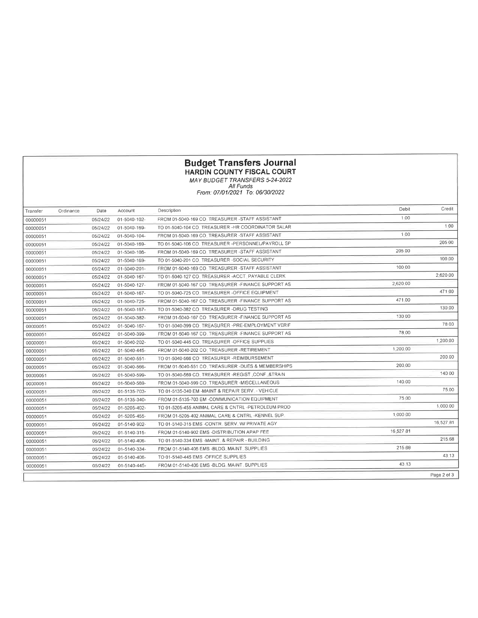### Budget Transfers Journal

HARDIN COUNTY FISCAL COURT

MAY BUDGET IRAIVSFERS 5-24-2022 All Funds From : 07/01 /2021 To: 06/30/2022

| Transfer | Ordinance | Date     | Account      | Description                                         | Debit     | Credit      |
|----------|-----------|----------|--------------|-----------------------------------------------------|-----------|-------------|
| 00000051 |           | 05/24/22 | 01-5040-102- | FROM 01-5040-169 CO. TREASURER - STAFF ASSISTANT    | 1.00      |             |
| 00000051 |           | 05/24/22 | 01-5040-169- | TO 01-5040-104 CO. TREASURER -HR COORDINATOR SALAR  |           | 1.00        |
| 00000051 |           | 05/24/22 | 01-5040-104- | FROM 01-5040-169 CO. TREASURER -STAFF ASSISTANT     | 1.00      |             |
| 00000051 |           | 05/24/22 | 01-5040-169- | TO 01-5040-106 CO TREASURER -PERSONNEL/PAYROLL SP   |           | 205 00      |
| 00000051 |           | 05/24/22 | 01-5040-106- | FROM 01-5040-169 CO. TREASURER -STAFF ASSISTANT     | 205 00    |             |
| 00000051 |           | 05/24/22 | 01-5040-169- | TO 01-5040-201 CO. TREASURER -SOCIAL SECURITY       |           | 100 00      |
| 00000051 |           | 05/24/22 | 01-5040-201- | FROM 01-5040-169 CO_TREASURER -STAFF ASSISTANT      | 100.00    |             |
| 00000051 |           | 05/24/22 | 01-5040-167- | TO 01-5040-127 CO. TREASURER - ACCT. PAYABLE CLERK  |           | 2,620 00    |
| 00000051 |           | 05/24/22 | 01-5040-127- | FROM 01-5040-167 CO. TREASURER -FINANCE SUPPORT AS  | 2,620.00  |             |
| 00000051 |           | 05/24/22 | 01-5040-167- | TO 01-5040-725 CO. TREASURER -OFFICE EQUIPMENT      |           | 471.00      |
| 00000051 |           | 05/24/22 | 01-5040-725- | FROM 01-5040-167 CO. TREASURER -FINANCE SUPPORT AS  | 471.00    |             |
| 00000051 |           | 05/24/22 | 01-5040-167- | TO 01-5040-382 CO_TREASURER -DRUG TESTING           |           | 130.00      |
| 00000051 |           | 05/24/22 | 01-5040-382- | FROM 01-5040-167 CO. TREASURER - FINANCE SUPPORT AS | 130.00    |             |
| 00000051 |           | 05/24/22 | 01-5040-167- | TO 01-5040-399 CO. TREASURER -PRE-EMPLOYMENT VERIF  |           | 78 00       |
| 00000051 |           | 05/24/22 | 01-5040-399- | FROM 01-5040-167 CO. TREASURER -FINANCE SUPPORT AS  | 78.00     |             |
| 00000051 |           | 05/24/22 | 01-5040-202- | TO 01-5040-445 CO. TREASURER -OFFICE SUPPLIES       |           | 1.200.00    |
| 00000051 |           | 05/24/22 | 01-5040-445- | FROM 01-5040-202 CO, TREASURER -RETIREMENT          | 1,200.00  |             |
| 00000051 |           | 05/24/22 | 01-5040-551- | TO 01-5040-566 CO TREASURER -REIMBURSEMENT          |           | 200 00      |
| 00000051 |           | 05/24/22 | 01-5040-566- | FROM 01-5040-551 CO. TREASURER -DUES & MEMBERSHIPS  | 200.00    |             |
| 00000051 |           | 05/24/22 | 01-5040-599- | TO 01-5040-569 CO. TREASURER -REGIST, CONF, &TRAIN  |           | 140 00      |
| 00000051 |           | 05/24/22 | 01-5040-569- | FROM 01-5040-599 CO. TREASURER -MISCELLANEOUS       | 140.00    |             |
| 00000051 |           | 05/24/22 | 01-5135-703- | TO 01-5135-340 EM -MAINT & REPAIR SERV - VEHICLE    |           | 75.00       |
| 00000051 |           | 05/24/22 | 01-5135-340- | FROM 01-5135-703 EM -COMMUNICATION EQUIPMENT        | 75 00     |             |
| 00000051 |           | 05/24/22 | 01-5205-402- | TO 01-5205-455 ANIMAL CARE & CNTRL -PETROLEUM PROD  |           | 1,000.00    |
| 00000051 |           | 05/24/22 | 01-5205-455- | FROM 01-5205-402 ANIMAL CARE & CNTRL -KENNEL SUP    | 1.000.00  |             |
| 00000051 |           | 05/24/22 | 01-5140-902- | TO 01-5140-315 EMS -CONTR. SERV. W/ PRIVATE AGY     |           | 16,527 81   |
| 00000051 |           | 05/24/22 | 01-5140-315- | FROM 01-5140-902 EMS -DISTRIBUTION APAP FEE         | 16.527.81 |             |
| 00000051 |           | 05/24/22 | 01-5140-406- | TO 01-5140-334 EMS -MAINT. & REPAIR - BUILDING      |           | 215 68      |
| 00000051 |           | 05/24/22 | 01-5140-334- | FROM 01-5140-406 EMS -BLDG. MAINT. SUPPLIES         | 215.68    |             |
| 00000051 |           | 05/24/22 | 01-5140-406- | TO 01-5140-445 EMS -OFFICE SUPPLIES                 |           | 43.13       |
| 00000051 |           | 05/24/22 | 01-5140-445- | FROM 01-5140-406 EMS -BLDG, MAINT, SUPPLIES         | 43.13     |             |
|          |           |          |              |                                                     |           | Page 2 of 3 |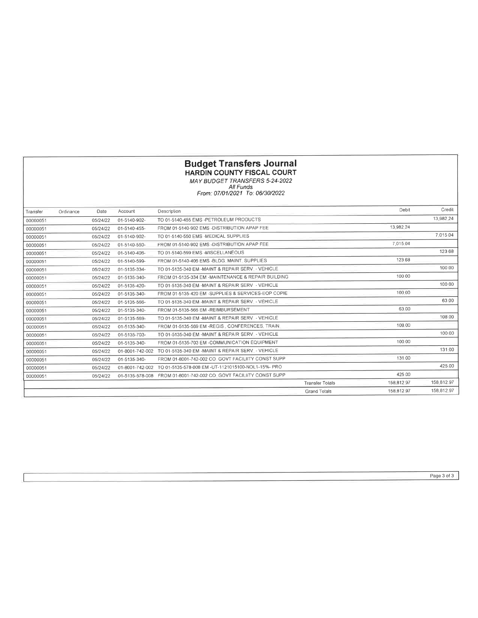#### Budget Transfers Journal HARDIN COUNTY FISCAL COURT

MAY BUDGET TRANSFERS 5-24-2022<br>All Funds<br>From: 07/01/2021 To: 06/30/2022

| Transfer | Ordinance | Date     | Account         | Description                                                           |                        | Debit        | Credil     |
|----------|-----------|----------|-----------------|-----------------------------------------------------------------------|------------------------|--------------|------------|
| 00000051 |           | 05/24/22 | 01-5140-902-    | TO 01-5140-455 EMS -PETROLEUM PRODUCTS                                |                        |              | 13,982.24  |
| 00000051 |           | 05/24/22 | 01-5140-455-    | FROM 01-5140-902 EMS -DISTRIBUTION APAP FEE                           |                        | 13.982.24    |            |
| 00000051 |           | 05/24/22 | 01-5140-902-    | TO 01-5140-550 EMS -MEDICAL SUPPLIES                                  |                        |              | 7.015.04   |
| 00000051 |           | 05/24/22 | 01-5140-550-    | FROM 01-5140-902 EMS -DISTRIBUTION APAP FEE                           |                        | 7.015.04     |            |
| 00000051 |           | 05/24/22 | 01-5140-406-    | TO 01-5140-599 EMS -MISCELLANEOUS                                     |                        |              | 123 68     |
| 00000051 |           | 05/24/22 | 01-5140-599-    | FROM 01-5140-406 EMS -BLDG_MAINT_SUPPLIES                             |                        | 123.68       |            |
| 00000051 |           | 05/24/22 | 01-5135-334-    | TO 01-5135-340 EM -MAINT & REPAIR SERV. - VEHICLE                     |                        |              | 100 00     |
| 00000051 |           | 05/24/22 | 01-5135-340-    | FROM 01-5135-334 EM -MAINTENANCE & REPAIR BUILDING                    |                        | 100.00       |            |
| 00000051 |           | 05/24/22 | 01-5135-420-    | TO 01-5135-340 FM -MAINT & REPAIR SERV - VEHICLE                      |                        |              | 100 00     |
| 00000051 |           | 05/24/22 | 01-5135-340-    | FROM 01-5135-420 EM -SUPPLIES & SERVICES-EOP COPIE                    |                        | 100.00       |            |
| 00000051 |           | 05/24/22 | 01-5135-566-    | TO 01-5135-340 EM -MAINT & REPAIR SERV. - VEHICLE                     |                        |              | 63 00      |
| 00000051 |           | 05/24/22 | 01-5135-340-    | FROM 01-5135-566 EM -REIMBURSEMENT                                    |                        | 63.00        |            |
| 00000051 |           | 05/24/22 | 01-5135-569-    | TO 01-5135-340 EM -MAINT & REPAIR SERV - VEHICLE                      |                        |              | 108.00     |
| 00000051 |           | 05/24/22 | 01-5135-340-    | FROM 01-5135-569 EM -REGIS, CONFERENCES, TRAIN.                       |                        | 108.00       |            |
| 00000051 |           | 05/24/22 | 01-5135-703-    | TO 01-5135-340 EM -MAINT & REPAIR SERV. - VEHICLE                     |                        |              | 100 00     |
| 00000051 |           | 05/24/22 | 01-5135-340-    | FROM 01-5135-703 EM -COMMUNICATION EQUIPMENT                          |                        | 100 00       |            |
| 00000051 |           | 05/24/22 | 01-8001-742-002 | TO 01-5135-340 EM -MAINT & REPAIR SERV. - VEHICLE                     |                        |              | 131.00     |
| 00000051 |           | 05/24/22 | 01-5135-340-    | FROM 01-8001-742-002 CO GOVT FACILIITY CONST SUPP                     |                        | 131 00       |            |
| 00000051 |           | 05/24/22 | 01-8001-742-002 | TO 01-5135-578-008 EM -UT-1121015100-NOL1-15%- PRO                    |                        |              | 425.00     |
| 00000051 |           | 05/24/22 |                 | 01-5135-578-008    FROM 01-8001-742-002 CO. GOVT FACILIITY CONST SUPP |                        | 425.00       |            |
|          |           |          |                 |                                                                       | <b>Transfer Tolals</b> | 158.812.97   | 158,812.97 |
|          |           |          |                 |                                                                       | <b>Grand Totals</b>    | 158, 812, 97 | 158,812.97 |